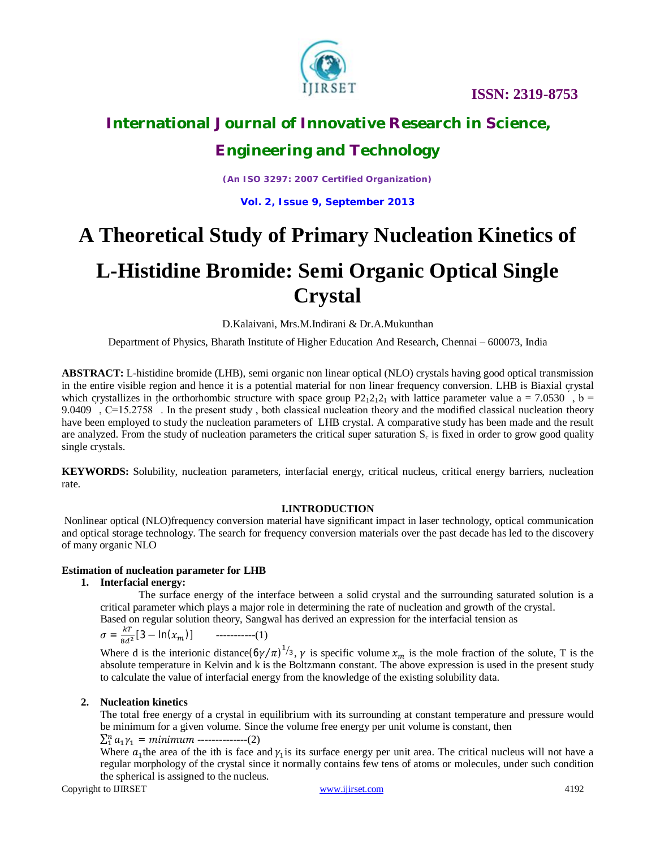

### **International Journal of Innovative Research in Science,**

## **Engineering and Technology**

*(An ISO 3297: 2007 Certified Organization)*

**Vol. 2, Issue 9, September 2013**

# **A Theoretical Study of Primary Nucleation Kinetics of L-Histidine Bromide: Semi Organic Optical Single Crystal**

D.Kalaivani, Mrs.M.Indirani & Dr.A.Mukunthan

Department of Physics, Bharath Institute of Higher Education And Research, Chennai – 600073, India

**ABSTRACT:** L-histidine bromide (LHB), semi organic non linear optical (NLO) crystals having good optical transmission in the entire visible region and hence it is a potential material for non linear frequency conversion. LHB is Biaxial crystal which crystallizes in the orthorhombic structure with space group  $P2_12_12_1$  with lattice parameter value a = 7.0530  $\hat{b}$ , b = 9.0409,  $C=15.2758$ . In the present study, both classical nucleation theory and the modified classical nucleation theory have been employed to study the nucleation parameters of LHB crystal. A comparative study has been made and the result are analyzed. From the study of nucleation parameters the critical super saturation  $S_c$  is fixed in order to grow good quality single crystals.

**KEYWORDS:** Solubility, nucleation parameters, interfacial energy, critical nucleus, critical energy barriers, nucleation rate.

### **I.INTRODUCTION**

Nonlinear optical (NLO)frequency conversion material have significant impact in laser technology, optical communication and optical storage technology. The search for frequency conversion materials over the past decade has led to the discovery of many organic NLO

### **Estimation of nucleation parameter for LHB**

**1. Interfacial energy:**

The surface energy of the interface between a solid crystal and the surrounding saturated solution is a critical parameter which plays a major role in determining the rate of nucleation and growth of the crystal.

Based on regular solution theory, Sangwal has derived an expression for the interfacial tension as

$$
\sigma = \frac{kT}{8d^2} [3 - \ln(x_m)] \qquad \qquad \text{---} \qquad (1)
$$

Where d is the interionic distance $(6\gamma/\pi)^{1/3}$ ,  $\gamma$  is specific volume  $x_m$  is the mole fraction of the solute, T is the absolute temperature in Kelvin and k is the Boltzmann constant. The above expression is used in the present study to calculate the value of interfacial energy from the knowledge of the existing solubility data.

### **2. Nucleation kinetics**

The total free energy of a crystal in equilibrium with its surrounding at constant temperature and pressure would be minimum for a given volume. Since the volume free energy per unit volume is constant, then

 $\sum_1^n a_1 \gamma_1 = \min \{ \max \}$  --------------(2)

Where  $a_1$  the area of the ith is face and  $\gamma_1$  is its surface energy per unit area. The critical nucleus will not have a regular morphology of the crystal since it normally contains few tens of atoms or molecules, under such condition the spherical is assigned to the nucleus.

Copyright to UIRSET and the control of the control www.ijirset.com 4192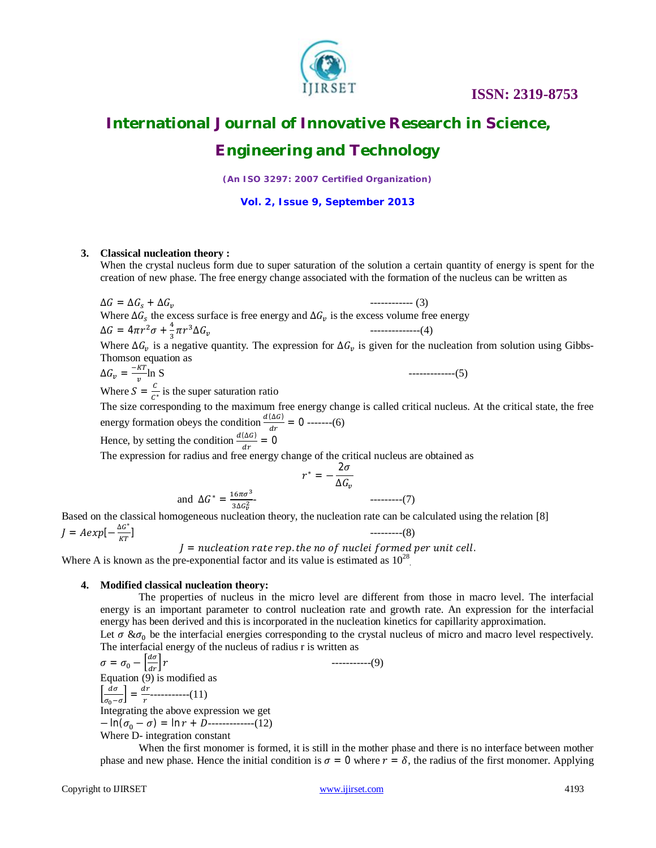### **ISSN: 2319-8753**

# **International Journal of Innovative Research in Science,**

## **Engineering and Technology**

*(An ISO 3297: 2007 Certified Organization)*

#### **Vol. 2, Issue 9, September 2013**

#### **3. Classical nucleation theory :**

When the crystal nucleus form due to super saturation of the solution a certain quantity of energy is spent for the creation of new phase. The free energy change associated with the formation of the nucleus can be written as

$$
\Delta G = \Delta G_s + \Delta G_v \tag{3}
$$

 $\Delta G = 4\pi r^2 \sigma + \frac{4}{3}$ 

Where  $\Delta G_s$  the excess surface is free energy and  $\Delta G_v$  is the excess volume free energy  $\frac{4}{3}\pi r^3 \Delta G_v$  --------------(4)

Where  $\Delta G_v$  is a negative quantity. The expression for  $\Delta G_v$  is given for the nucleation from solution using Gibbs-Thomson equation as

 $------(5)$ 

$$
\Delta G_v = \frac{-\kappa r}{v} \ln S
$$

KT

Where  $S = \frac{C}{C}$  $\frac{c}{c^*}$  is the super saturation ratio

The size corresponding to the maximum free energy change is called critical nucleus. At the critical state, the free energy formation obeys the condition  $\frac{d(\Delta G)}{dr} = 0$  -------(6)

Hence, by setting the condition  $\frac{d(\Delta G)}{dr} = 0$ 

The expression for radius and free energy change of the critical nucleus are obtained as

ݎ <sup>∗</sup> = − ߪ2 <sup>௩</sup>ܩ∆ ܩ∆ and <sup>∗</sup> = ଵగఙ<sup>య</sup> ଷ∆ீೡ మ - ---------(7)

Based on the classical homogeneous nucleation theory, the nucleation rate can be calculated using the relation [8]  $J = A exp[-\frac{\Delta G^*}{kT}$ ] ---------(8)

 $J =$  nucleation rate rep. the no of nuclei formed per unit cell.

Where A is known as the pre-exponential factor and its value is estimated as  $10^{28}$ .

#### **4. Modified classical nucleation theory:**

The properties of nucleus in the micro level are different from those in macro level. The interfacial energy is an important parameter to control nucleation rate and growth rate. An expression for the interfacial energy has been derived and this is incorporated in the nucleation kinetics for capillarity approximation.

Let  $\sigma \& \sigma_0$  be the interfacial energies corresponding to the crystal nucleus of micro and macro level respectively. The interfacial energy of the nucleus of radius r is written as

 $\sigma = \sigma_0 - \left[\frac{d\sigma}{dr}\right]$  $------(9)$ Equation (9) is modified as  $\left\lceil \frac{d\sigma}{d\sigma} \right\rceil$  $\left[\frac{d\sigma}{\sigma_0 - \sigma}\right] = \frac{dr}{r}$  $\frac{u}{r}$ ------------(11) Integrating the above expression we get  $-\ln(\sigma_0-\sigma)=\ln r + D$ -------------(12) Where D- integration constant

When the first monomer is formed, it is still in the mother phase and there is no interface between mother phase and new phase. Hence the initial condition is  $\sigma = 0$  where  $r = \delta$ , the radius of the first monomer. Applying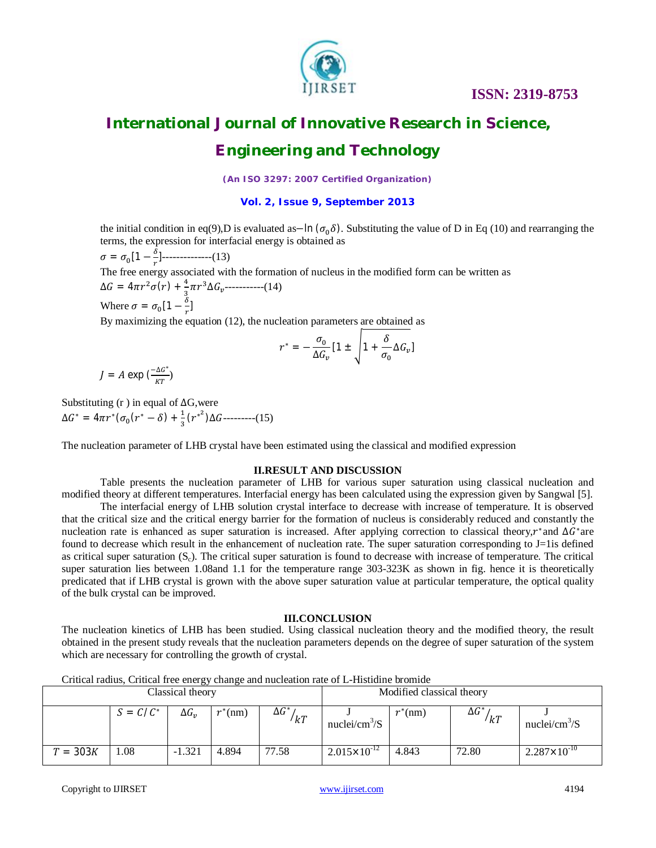### **ISSN: 2319-8753**



# **International Journal of Innovative Research in Science, Engineering and Technology**

*(An ISO 3297: 2007 Certified Organization)*

#### **Vol. 2, Issue 9, September 2013**

the initial condition in eq(9),D is evaluated as–ln ( $\sigma_0 \delta$ ). Substituting the value of D in Eq (10) and rearranging the terms, the expression for interfacial energy is obtained as

$$
\sigma = \sigma_0 [1 - \frac{\delta}{r}] \dots (13)
$$

The free energy associated with the formation of nucleus in the modified form can be written as

 $\Delta G = 4\pi r^2 \sigma(r) + \frac{4}{3}$  $\frac{4}{3}\pi r^3 \Delta G_v$ -----------(14)

Where  $\sigma = \sigma_0 [1 - \frac{\delta}{r}]$  $\frac{1}{r}]$ 

By maximizing the equation (12), the nucleation parameters are obtained as

$$
r^* = -\frac{\sigma_0}{\Delta G_v} [1 \pm \sqrt{1 + \frac{\delta}{\sigma_0} \Delta G_v}]
$$

 $J = A \exp \left( \frac{-\Delta G^*}{kT} \right)$  $\frac{20}{KT}$ 

Substituting (r ) in equal of ∆G,were  $\Delta G^* = 4\pi r^* (\sigma_0 (r^* - \delta) + \frac{1}{3})$  $\frac{1}{3}(r^{*^2})\Delta G$ ---------(15)

The nucleation parameter of LHB crystal have been estimated using the classical and modified expression

#### **II.RESULT AND DISCUSSION**

Table presents the nucleation parameter of LHB for various super saturation using classical nucleation and modified theory at different temperatures. Interfacial energy has been calculated using the expression given by Sangwal [5].

The interfacial energy of LHB solution crystal interface to decrease with increase of temperature. It is observed that the critical size and the critical energy barrier for the formation of nucleus is considerably reduced and constantly the nucleation rate is enhanced as super saturation is increased. After applying correction to classical theory, $r^*$  and  $\Delta G^*$  are found to decrease which result in the enhancement of nucleation rate. The super saturation corresponding to J=1 is defined as critical super saturation  $(S_c)$ . The critical super saturation is found to decrease with increase of temperature. The critical super saturation lies between 1.08and 1.1 for the temperature range 303-323K as shown in fig. hence it is theoretically predicated that if LHB crystal is grown with the above super saturation value at particular temperature, the optical quality of the bulk crystal can be improved.

#### **III.CONCLUSION**

The nucleation kinetics of LHB has been studied. Using classical nucleation theory and the modified theory, the result obtained in the present study reveals that the nucleation parameters depends on the degree of super saturation of the system which are necessary for controlling the growth of crystal.

| entrem ruthus, entrem nec energy entirely and nucleation rate of E rinstrume orommet |                  |                  |         |                    |                           |            |                     |                       |
|--------------------------------------------------------------------------------------|------------------|------------------|---------|--------------------|---------------------------|------------|---------------------|-----------------------|
|                                                                                      | Classical theory |                  |         |                    | Modified classical theory |            |                     |                       |
|                                                                                      | $S = C/C^*$      | $\Delta G_{\nu}$ | $*(nm)$ | $\Delta G^*$<br>kT | nuclei/cm <sup>3</sup> /S | $r^*$ (nm) | $\Delta G^*$<br>/kT | nuclei/cm ${}^{3}/S$  |
| $T = 303K$                                                                           | 0.08             | $-1.321$         | 4.894   | 77.58              | $2.015\times10^{-12}$     | 4.843      | 72.80               | $2.287\times10^{-10}$ |

Critical radius, Critical free energy change and nucleation rate of L-Histidine bromide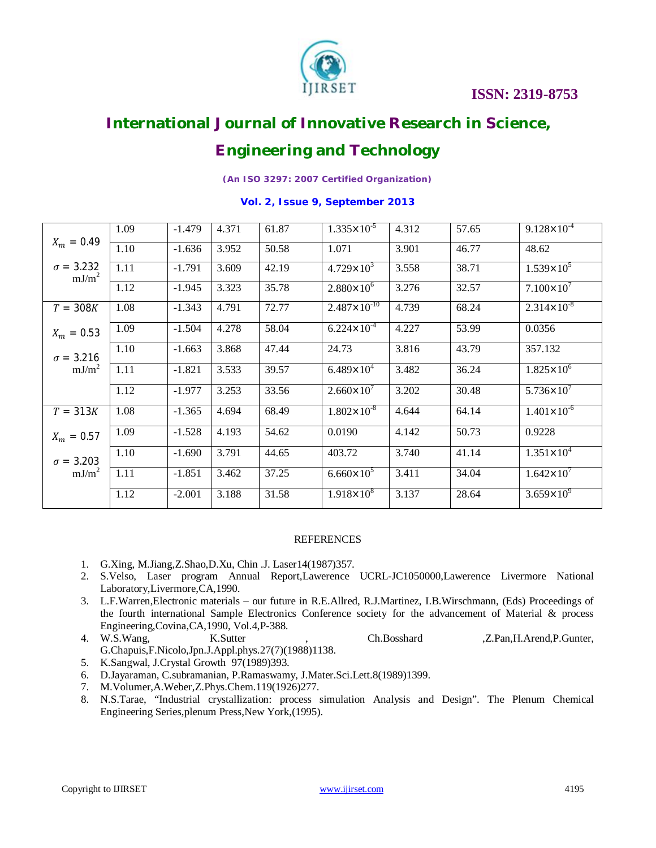### **ISSN: 2319-8753**

# **International Journal of Innovative Research in Science, Engineering and Technology**

*(An ISO 3297: 2007 Certified Organization)*

#### $X_m = 0.49$  $\sigma = 3.232$  $mJ/m<sup>2</sup>$ 1.09  $\begin{array}{|c|c|c|c|c|c|c|c|} \hline -1.479 & 4.371 & 61.87 & 1.335 \times 10^{-5} \ \hline \end{array}$ 4.312  $\overline{)57.65}$  9.128×10<sup>-4</sup> 1.10 -1.636 3.952 50.58 1.071 3.901 46.77 48.62 1.11 |  $-1.791$  |  $3.609$  |  $42.19$  |  $4.729 \times 10^3$ 3.558  $38.71$   $1.539 \times 10^5$ 1.12  $\vert$  -1.945 3.323 35.78 2.880×10<sup>6</sup> 3.276 32.57  $7.100\times10^{7}$  $T = 308K$  $X_m = 0.53$  $\sigma = 3.216$  $mJ/m<sup>2</sup>$ 1.08 -1.343 4.791 72.77 2.487×10-10 4.739 68.24 2.314×10-8 1.09  $-1.504$   $4.278$   $58.04$   $6.224 \times 10^{-4}$ 4.227 53.99 0.0356 1.10 -1.663 3.868 47.44 24.73 3.816 43.79 357.132 1.11  $-1.821$  3.533 39.57 6.489 $\times$ 10<sup>4</sup> 3.482  $36.24$   $1.825 \times 10^6$ 1.12  $\vert$  -1.977  $\vert$  3.253  $\vert$  33.56  $\vert$  2.660×10<sup>7</sup>  $3.202$   $30.48$   $5.736 \times 10^{7}$  $T = 313K$  $X_m = 0.57$  $\sigma = 3.203$  $mJ/m<sup>2</sup>$ 1.08  $-1.365$  4.694 68.49  $1.802 \times 10^{-8}$ 4.644 64.14  $1.401 \times 10^{-6}$ 1.09 -1.528 4.193 54.62 0.0190 4.142 50.73 0.9228 1.10 -1.690 3.791 44.65 403.72 3.740 41.14 1.351×10<sup>4</sup> 1.11  $-1.851$  3.462 37.25  $6.660 \times 10^5$  $3.411$   $34.04$   $1.642 \times 10^7$ 1.12 |  $-2.001$  | 3.188 | 31.58 | 1.918×10<sup>8</sup> 3.137 28.64  $3.659 \times 10^9$

### **Vol. 2, Issue 9, September 2013**

#### REFERENCES

- 1. G.Xing, M.Jiang,Z.Shao,D.Xu, Chin .J. Laser14(1987)357.
- 2. S.Velso, Laser program Annual Report,Lawerence UCRL-JC1050000,Lawerence Livermore National Laboratory,Livermore,CA,1990.
- 3. L.F.Warren,Electronic materials our future in R.E.Allred, R.J.Martinez, I.B.Wirschmann, (Eds) Proceedings of the fourth international Sample Electronics Conference society for the advancement of Material & process Engineering,Covina,CA,1990, Vol.4,P-388.
- 4. W.S.Wang, K.Sutter , Ch.Bosshard , Z.Pan,H.Arend,P.Gunter, G.Chapuis,F.Nicolo,Jpn.J.Appl.phys.27(7)(1988)1138.
- 5. K.Sangwal, J.Crystal Growth 97(1989)393.
- 6. D.Jayaraman, C.subramanian, P.Ramaswamy, J.Mater.Sci.Lett.8(1989)1399.
- 7. M.Volumer,A.Weber,Z.Phys.Chem.119(1926)277.
- 8. N.S.Tarae, "Industrial crystallization: process simulation Analysis and Design". The Plenum Chemical Engineering Series,plenum Press,New York,(1995).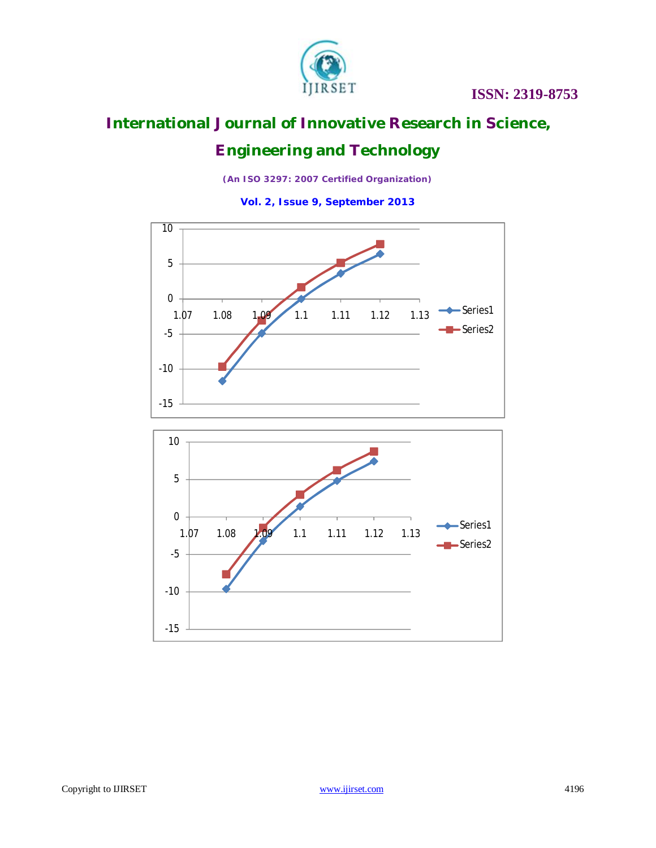

# **International Journal of Innovative Research in Science,**

# **Engineering and Technology**

*(An ISO 3297: 2007 Certified Organization)*

### **Vol. 2, Issue 9, September 2013**